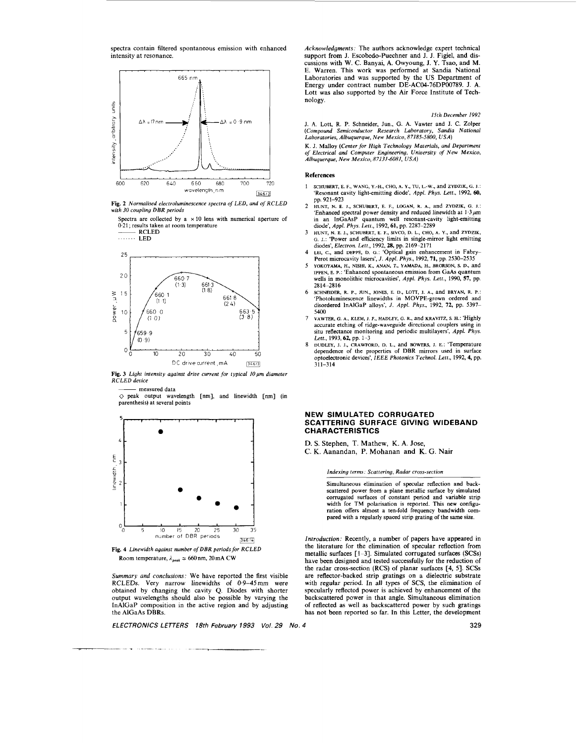spectra contain filtered spontaneous emission with enhanced intensity at resonance.

<span id="page-0-0"></span>

**Fig. 2** *Normalised electroluminescence spectra of LED, and* of *RCLED with 30 coupling DBR periods* 

Spectra are collected by a  $\times$  10 lens with numerical aperture of 0.21; results taken at room temperature <sup>~</sup>RCLED





Fig. 3 Light intensity against drive current for typical 10  $\mu$ m diameter *RCLED device* 

measured data

*0* peak output wavelength [nm], and linewidth [nm] (in parenthesis) at several points



**[Fig.](#page-1-0) 4** *Linewidth against number ofDBR periods for RCLED*  Room temperature,  $\lambda_{peak} \simeq 660$  nm, 20 mA CW

*Summary and conclusions:* We have reported the first visible RCLEDs. Very narrow linewidths of 0.9-45mm were obtained by changing the cavity **Q.** Diodes with shorter output wavelengths should also be possible by varying the InAlGaP composition in the active region and by adjusting the AlGaAs DBRs.

*ELECTRONICS LETTERS 18th February 1993 Vol. 29 No.* 

*Acknowledgments:* The authors acknowledge expert technical support from J. Escobedo-Puechner and J. J. Figiel, and discussions with W. c. Banyai, A. Owyoung, J. Y. Tsao, and M. E. Warren. This work was performed at Sandia National Laboratories and was supported by the US Department of Energy under contract number DE-AC04-76DP00789. J. A. Lott was also supported by the Air Force Institute of Technology.

*15th December 1992* 

**J.** A. Lott, R. P. Schneider, Jun., G. A. Vawter and **J.** C. Zolper *(Compound Semiconductor Research Laboratory, Sandia National Laboratories, Albuquerque, New Mexico, 87185-58W, USA)* 

K. J. Malloy *(Center for High Technology Materials, and Department of Electrical and Computer Engineering, Uniuersity of New Mexico, Albuquerque, Nen, Mexico, 87131-6081, USA)* 

#### References

- 1 **SCHUBERT, E. F., WANG, Y.-H., CHO, A. Y., TU,** L.-w., and **ZWZIK,** G. **I.:**  'Resonant cavity light-emitting diode', *Appl. Phys.* Lett., 1992, **60,**  pp. 921-923
- **2 HUNT, N. E. I., SCHUBERT, E. F., LOGAN, R. A.,** and **ZYDZIK, G. 1.:**  'Enhanced spectral power density and reduced linewidth at  $1.3 \mu m$ in an InGaAsP quantum well resonant-cavity light-emitting diode', *Appl. Phys. Lett.,* 1992,61, pp. 2287-2289
- HUNT, N. E. J., SCHUBERT, E. F., SIVCO, D. L., CHO, A. Y., and ZYDZIK, G. J.: 'Power and efficiency limits in single-mirror light emitting diodes', *Electron. Lett.*, 1992, 28, pp. 2169–2171 3
- 4 LEI, C., and DEPPE, D. G.: 'Optical gain enhancement in Fabry–<br>Perot microcavity lasers', J. Appl. Phys., 1992, 71, pp. 2530–2535<br>5 YOKOYAMA, H., NISHI, K., ANAN, T., YAMADA, H., BRORSON, S. D., and
- **IPPEN, E. P.:** 'Enhanced spontaneous emission from GaAs quantum wells in monolithic microcavities', *Appl. Phys. Lett.,* 1990, *51,* pp. 2814-2816
- 'Photoluminescence linewidths in MOVPE-grown ordered and disordered InAlGaP alloys', *J. Appl. Phys.,* 1992, 72, pp. 5397- **5400**  6 **SCHNEWER, R. P., JUN., JONES, E. D.,** !-OTT, **1. A.,** and **BRYAN, R. P.:**
- VAWTER, *G.* A., **KLEM,** J. *F.,* **HADLEY, G. R.,** and **KRAVITZ, s H.:** 'Highly accurate etching of ridge-waveguide directional couplers using in situ reflectance monitoring and periodic multilayers', *Appl. Phys. 7*
- *Lett.,* 1993,62, pp. 1-3 **DUDLEY, 1. I., CRAWFORD, 0. L.,** and BOWERS, 1. E.: 'Temperature dependence of the properties of DBR mirrors used in surface optoelectronic devices', *IEEE Photonics Technol. Lett.,* 1992, 4, pp.  $311 - 314$ **8**

# **NEW SIMULATED CORRUGATED SCATTERING SURFACE GIVING WIDEBAND CHARACTERISTICS**

**D.** *S.* Stephen, T. Mathew, K. A. Jose,

C. K. Aanandan, P. Mohanan and K. G. Nair

*Indexing terms: Scatterina, Radar cross-section* 

Simultaneous elimination of specular reflection and backscattered power from a plane metallic surface by simulated corrugated surfaces of constant period and variable strip width for TM polarisation is reported. This new configuration offers almost a ten-fold frequency bandwidth com- pared with a regularly spaced strip grating of the same size.

*Introduction:* Recently, a number of papers have appeared in the literature for the elimination of specular reflection from metallic surfaces **[l-31.** Simulated corrugated surfaces **(SCSs)**  have been designed and tested successfully for the reduction of the radar cross-section (RCS) of planar surfaces **[4, 51. SCSs**  are reflector-backed strip gratings on a dielectric substrate with regular period. In all types of SCS, the elimination **of**  specularly reflected power is achieved by enhancement of the backscattered power in that angle. Simultaneous elimination of reflected as well as backscattered power by such gratings has not been reported so far. In this Letter, the development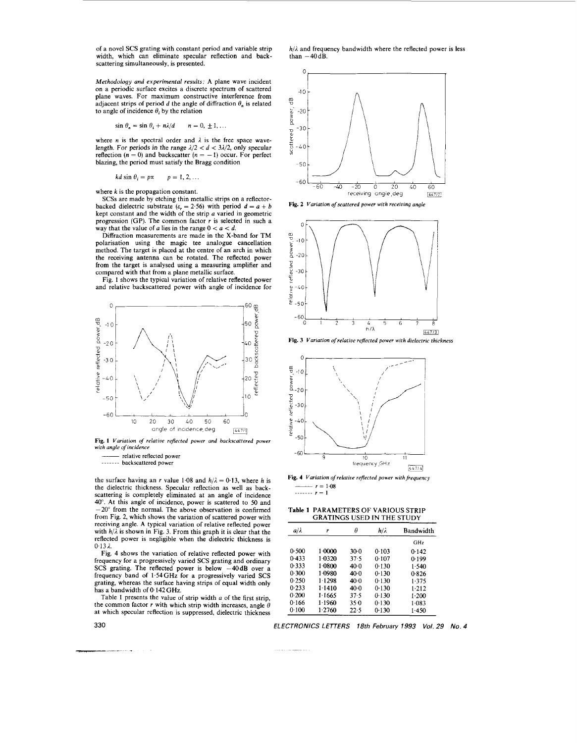<span id="page-1-0"></span>of a novel SCS grating with constant period and variable strip width, which can eliminate specular reflection and hackscattering simultaneously, is presented.

*Methodology and experimental results:* A plane wave incident on a periodic surface excites a discrete spectrum of scattered plane waves. For maximum constructive interference from adjacent strips of period *d* the angle of diffraction  $\theta_n$  is related to angle of incidence  $\theta_i$  by the relation

$$
\sin \theta_n = \sin \theta_i + n\lambda/d \qquad n = 0, \pm 1, \ldots
$$

where *n* is the spectral order and  $\lambda$  is the free space wavelength. For periods in the range  $\lambda/2 < d < 3\lambda/2$ , only specular reflection  $(n = 0)$  and backscatter  $(n = -1)$  occur. For perfect blazing, the period must satisfy the Bragg condition

$$
kd \sin \theta_i = p\pi \qquad p = 1, 2, ...
$$

where *k* is the propagation constant.

**SCSs** are made by etching thin metallic strips on a reflectorbacked dielectric substrate  $(e_r = 2.56)$  with period  $d = a + b$  kept constant and the width of the strip *a* varied in geometric progression (GP). The common factor *r* is selected in such a way that the value of *a* lies in the range  $0 < a < d$ .

Diffraction measurements are made in the X-band for TM polarisation using the magic tee analogue cancellation method. The target is placed at the centre of an arch in which the receiving antenna can be rotated. The reflected power from the target is analysed using a measuring amplifier and compared with that from a plane metallic surface.

[Fig. 1](#page-2-0) shows the typical variation of relative reflected power and relative backscattered power with angle of incidence for



**[Fig.](#page-2-0) 1** *Variation of relative reflected power and backscattered power with angle of incidence* 

<sup>~</sup>relative reflected power . . . . . . . backscattered power

the surface having an *r* value 1.08 and  $h/\lambda = 0.13$ , where h is the dielectric thickness. Specular reflection **as** well as hackscattering is completely eliminated at an angle of incidence 40". At this angle of incidence, power is scattered to 50 and  $-20^\circ$  from the normal. The above observation is confirmed from Fig. 2, which shows the variation of scattered power with receiving angle. A typical variation of relative reflected power with  $h/\lambda$  is shown in [Fig. 3.](#page-0-0) From this graph it is clear that the reflected power is negligible when the dielectric thickness is  $0.13 \lambda$ 

Fig. 4 shows the variation of relative reflected power with frequency for a progressively varied SCS grating and ordinary SCS grating. The reflected power is below -40dB over a frequency hand of 1.54GHz for a progressively varied SCS grating, whereas the surface having strips of equal width only has a bandwidth of 0.142 **GHz.** 

Table 1 presents the value of strip width *a* of the first strip, the common factor  $r$  with which strip width increases, angle  $\theta$ at which specular reflection is suppressed, dielectric thickness Face I presents the value of strip<br>the common factor  $r$  with which stress at which specular reflection is supp<br>330

 $h/\lambda$  and frequency bandwidth where the reflected power is less than  $-40$  dB.







**[Fig.](#page-0-0) 3** *Variation of relative reflected power with dielectric thickness* 



**Fig. 4** *Variation ofrelative reflected power with frequency*   $\frac{r}{r} = 1.08$ . . . . . . . **r=l** 

### Table **1** PARAMETERS OF VARIOUS STRIP GRATINGS USED IN THE STUDY

| a/ $\lambda$ | ۲        | θ      | h/i   | <b>Bandwidth</b> |
|--------------|----------|--------|-------|------------------|
|              |          |        |       | GH <sub>2</sub>  |
| 0.500        | 1.0000   | 30-0   | 0.103 | 0.142            |
| 0.433        | 1.0320   | 37.5   | 0.107 | 0.199            |
| 0.333        | $1-0800$ | 40.0   | 0.130 | 1.540            |
| 0.300        | 1.0980   | $40-0$ | 0.130 | 0.826            |
| 0.250        | 1.1298   | 40.0   | 0.130 | 1.375            |
| 0.233        | 1.1410   | 40.0   | 0.130 | $1-212$          |
| 0.200        | 1.1665   | 37.5   | 0.130 | 1.200            |
| 0.166        | 1.1960   | 35.0   | 0.130 | $1 - 083$        |
| 0.100        | 1.2760   | 22.5   | 0.130 | 1.450            |

*ELECTRONICS LETERS 18th February 1993 Vol. 29 No. 4* 

**330**